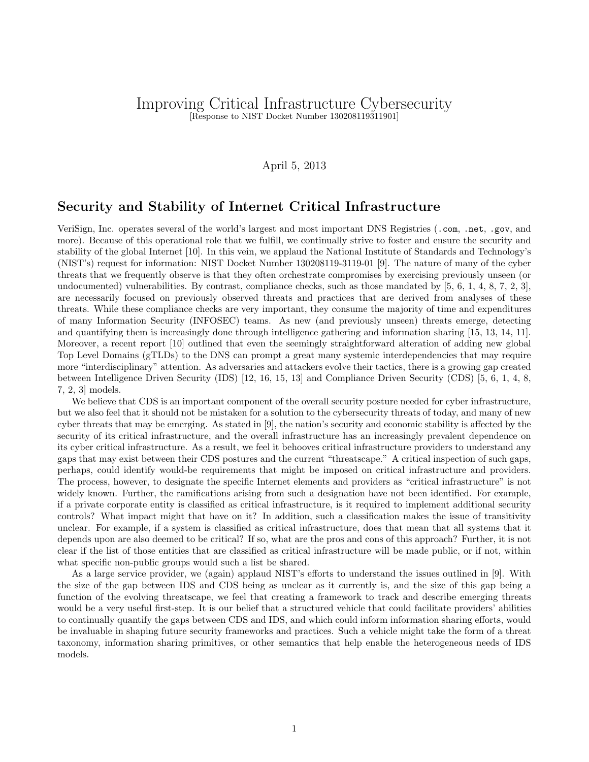## Improving Critical Infrastructure Cybersecurity [Response to NIST Docket Number 130208119311901]

## April 5, 2013

## Security and Stability of Internet Critical Infrastructure

VeriSign, Inc. operates several of the world's largest and most important DNS Registries (.com, .net, .gov, and more). Because of this operational role that we fulfill, we continually strive to foster and ensure the security and stability of the global Internet [10]. In this vein, we applaud the National Institute of Standards and Technology's (NIST's) request for information: NIST Docket Number 130208119-3119-01 [9]. The nature of many of the cyber threats that we frequently observe is that they often orchestrate compromises by exercising previously unseen (or undocumented) vulnerabilities. By contrast, compliance checks, such as those mandated by [5, 6, 1, 4, 8, 7, 2, 3], are necessarily focused on previously observed threats and practices that are derived from analyses of these threats. While these compliance checks are very important, they consume the majority of time and expenditures of many Information Security (INFOSEC) teams. As new (and previously unseen) threats emerge, detecting and quantifying them is increasingly done through intelligence gathering and information sharing [15, 13, 14, 11]. Moreover, a recent report [10] outlined that even the seemingly straightforward alteration of adding new global Top Level Domains (gTLDs) to the DNS can prompt a great many systemic interdependencies that may require more "interdisciplinary" attention. As adversaries and attackers evolve their tactics, there is a growing gap created between Intelligence Driven Security (IDS) [12, 16, 15, 13] and Compliance Driven Security (CDS) [5, 6, 1, 4, 8, 7, 2, 3] models.

We believe that CDS is an important component of the overall security posture needed for cyber infrastructure, but we also feel that it should not be mistaken for a solution to the cybersecurity threats of today, and many of new cyber threats that may be emerging. As stated in [9], the nation's security and economic stability is affected by the security of its critical infrastructure, and the overall infrastructure has an increasingly prevalent dependence on its cyber critical infrastructure. As a result, we feel it behooves critical infrastructure providers to understand any gaps that may exist between their CDS postures and the current "threatscape." A critical inspection of such gaps, perhaps, could identify would-be requirements that might be imposed on critical infrastructure and providers. The process, however, to designate the specific Internet elements and providers as "critical infrastructure" is not widely known. Further, the ramifications arising from such a designation have not been identified. For example, if a private corporate entity is classified as critical infrastructure, is it required to implement additional security controls? What impact might that have on it? In addition, such a classification makes the issue of transitivity unclear. For example, if a system is classified as critical infrastructure, does that mean that all systems that it depends upon are also deemed to be critical? If so, what are the pros and cons of this approach? Further, it is not clear if the list of those entities that are classified as critical infrastructure will be made public, or if not, within what specific non-public groups would such a list be shared.

As a large service provider, we (again) applaud NIST's efforts to understand the issues outlined in [9]. With the size of the gap between IDS and CDS being as unclear as it currently is, and the size of this gap being a function of the evolving threatscape, we feel that creating a framework to track and describe emerging threats would be a very useful first-step. It is our belief that a structured vehicle that could facilitate providers' abilities to continually quantify the gaps between CDS and IDS, and which could inform information sharing efforts, would be invaluable in shaping future security frameworks and practices. Such a vehicle might take the form of a threat taxonomy, information sharing primitives, or other semantics that help enable the heterogeneous needs of IDS models.